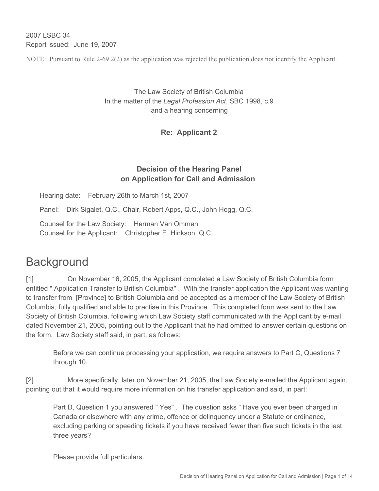2007 LSBC 34 Report issued: June 19, 2007

NOTE: Pursuant to Rule 2-69.2(2) as the application was rejected the publication does not identify the Applicant.

The Law Society of British Columbia In the matter of the *Legal Profession Act*, SBC 1998, c.9 and a hearing concerning

**Re: Applicant 2**

### **Decision of the Hearing Panel on Application for Call and Admission**

Hearing date: February 26th to March 1st, 2007

Panel: Dirk Sigalet, Q.C., Chair, Robert Apps, Q.C., John Hogg, Q.C.

Counsel for the Law Society: Herman Van Ommen Counsel for the Applicant: Christopher E. Hinkson, Q.C.

# **Background**

[1] On November 16, 2005, the Applicant completed a Law Society of British Columbia form entitled " Application Transfer to British Columbia" . With the transfer application the Applicant was wanting to transfer from [Province] to British Columbia and be accepted as a member of the Law Society of British Columbia, fully qualified and able to practise in this Province. This completed form was sent to the Law Society of British Columbia, following which Law Society staff communicated with the Applicant by e-mail dated November 21, 2005, pointing out to the Applicant that he had omitted to answer certain questions on the form. Law Society staff said, in part, as follows:

Before we can continue processing your application, we require answers to Part C, Questions 7 through 10.

[2] More specifically, later on November 21, 2005, the Law Society e-mailed the Applicant again, pointing out that it would require more information on his transfer application and said, in part:

Part D, Question 1 you answered " Yes" . The question asks " Have you ever been charged in Canada or elsewhere with any crime, offence or delinquency under a Statute or ordinance, excluding parking or speeding tickets if you have received fewer than five such tickets in the last three years?

Please provide full particulars.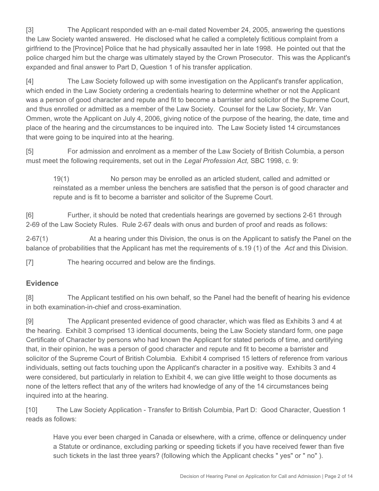[3] The Applicant responded with an e-mail dated November 24, 2005, answering the questions the Law Society wanted answered. He disclosed what he called a completely fictitious complaint from a girlfriend to the [Province] Police that he had physically assaulted her in late 1998. He pointed out that the police charged him but the charge was ultimately stayed by the Crown Prosecutor. This was the Applicant's expanded and final answer to Part D, Question 1 of his transfer application.

[4] The Law Society followed up with some investigation on the Applicant's transfer application, which ended in the Law Society ordering a credentials hearing to determine whether or not the Applicant was a person of good character and repute and fit to become a barrister and solicitor of the Supreme Court, and thus enrolled or admitted as a member of the Law Society. Counsel for the Law Society, Mr. Van Ommen, wrote the Applicant on July 4, 2006, giving notice of the purpose of the hearing, the date, time and place of the hearing and the circumstances to be inquired into. The Law Society listed 14 circumstances that were going to be inquired into at the hearing.

[5] For admission and enrolment as a member of the Law Society of British Columbia, a person must meet the following requirements, set out in the *Legal Profession Act,* SBC 1998, c. 9:

19(1) No person may be enrolled as an articled student, called and admitted or reinstated as a member unless the benchers are satisfied that the person is of good character and repute and is fit to become a barrister and solicitor of the Supreme Court.

[6] Further, it should be noted that credentials hearings are governed by sections 2-61 through 2-69 of the Law Society Rules. Rule 2-67 deals with onus and burden of proof and reads as follows:

2-67(1) At a hearing under this Division, the onus is on the Applicant to satisfy the Panel on the balance of probabilities that the Applicant has met the requirements of s.19 (1) of the *Act* and this Division.

[7] The hearing occurred and below are the findings.

#### **Evidence**

[8] The Applicant testified on his own behalf, so the Panel had the benefit of hearing his evidence in both examination-in-chief and cross-examination.

[9] The Applicant presented evidence of good character, which was filed as Exhibits 3 and 4 at the hearing. Exhibit 3 comprised 13 identical documents, being the Law Society standard form, one page Certificate of Character by persons who had known the Applicant for stated periods of time, and certifying that, in their opinion, he was a person of good character and repute and fit to become a barrister and solicitor of the Supreme Court of British Columbia. Exhibit 4 comprised 15 letters of reference from various individuals, setting out facts touching upon the Applicant's character in a positive way. Exhibits 3 and 4 were considered, but particularly in relation to Exhibit 4, we can give little weight to those documents as none of the letters reflect that any of the writers had knowledge of any of the 14 circumstances being inquired into at the hearing.

[10] The Law Society Application - Transfer to British Columbia, Part D: Good Character, Question 1 reads as follows:

Have you ever been charged in Canada or elsewhere, with a crime, offence or delinquency under a Statute or ordinance, excluding parking or speeding tickets if you have received fewer than five such tickets in the last three years? (following which the Applicant checks " yes" or " no" ).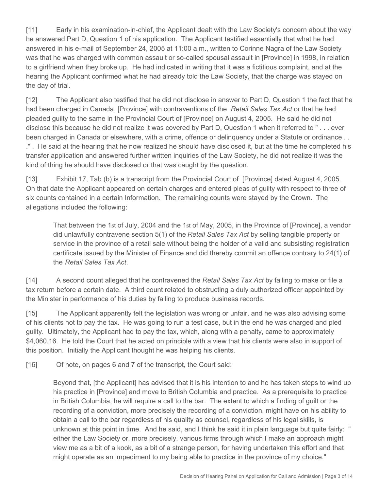[11] Early in his examination-in-chief, the Applicant dealt with the Law Society's concern about the way he answered Part D, Question 1 of his application. The Applicant testified essentially that what he had answered in his e-mail of September 24, 2005 at 11:00 a.m., written to Corinne Nagra of the Law Society was that he was charged with common assault or so-called spousal assault in [Province] in 1998, in relation to a girlfriend when they broke up. He had indicated in writing that it was a fictitious complaint, and at the hearing the Applicant confirmed what he had already told the Law Society, that the charge was stayed on the day of trial.

[12] The Applicant also testified that he did not disclose in answer to Part D, Question 1 the fact that he had been charged in Canada [Province] with contraventions of the *Retail Sales Tax Act* or that he had pleaded guilty to the same in the Provincial Court of [Province] on August 4, 2005. He said he did not disclose this because he did not realize it was covered by Part D, Question 1 when it referred to " . . . ever been charged in Canada or elsewhere, with a crime, offence or delinquency under a Statute or ordinance . . ." . He said at the hearing that he now realized he should have disclosed it, but at the time he completed his transfer application and answered further written inquiries of the Law Society, he did not realize it was the kind of thing he should have disclosed or that was caught by the question.

[13] Exhibit 17, Tab (b) is a transcript from the Provincial Court of [Province] dated August 4, 2005. On that date the Applicant appeared on certain charges and entered pleas of guilty with respect to three of six counts contained in a certain Information. The remaining counts were stayed by the Crown. The allegations included the following:

That between the 1st of July, 2004 and the 1st of May, 2005, in the Province of [Province], a vendor did unlawfully contravene section 5(1) of the *Retail Sales Tax Act* by selling tangible property or service in the province of a retail sale without being the holder of a valid and subsisting registration certificate issued by the Minister of Finance and did thereby commit an offence contrary to 24(1) of the *Retail Sales Tax Act*.

[14] A second count alleged that he contravened the *Retail Sales Tax Act* by failing to make or file a tax return before a certain date. A third count related to obstructing a duly authorized officer appointed by the Minister in performance of his duties by failing to produce business records.

[15] The Applicant apparently felt the legislation was wrong or unfair, and he was also advising some of his clients not to pay the tax. He was going to run a test case, but in the end he was charged and pled guilty. Ultimately, the Applicant had to pay the tax, which, along with a penalty, came to approximately \$4,060.16. He told the Court that he acted on principle with a view that his clients were also in support of this position. Initially the Applicant thought he was helping his clients.

[16] Of note, on pages 6 and 7 of the transcript, the Court said:

Beyond that, [the Applicant] has advised that it is his intention to and he has taken steps to wind up his practice in [Province] and move to British Columbia and practice. As a prerequisite to practice in British Columbia, he will require a call to the bar. The extent to which a finding of guilt or the recording of a conviction, more precisely the recording of a conviction, might have on his ability to obtain a call to the bar regardless of his quality as counsel, regardless of his legal skills, is unknown at this point in time. And he said, and I think he said it in plain language but quite fairly: " either the Law Society or, more precisely, various firms through which I make an approach might view me as a bit of a kook, as a bit of a strange person, for having undertaken this effort and that might operate as an impediment to my being able to practice in the province of my choice."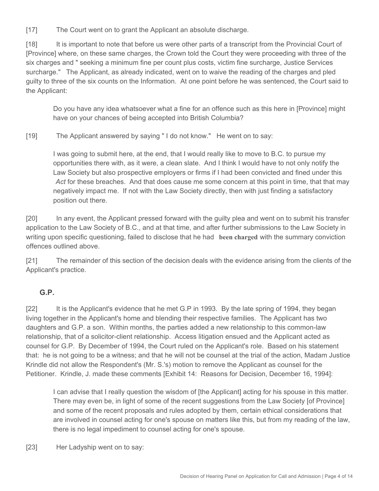[17] The Court went on to grant the Applicant an absolute discharge.

[18] It is important to note that before us were other parts of a transcript from the Provincial Court of [Province] where, on these same charges, the Crown told the Court they were proceeding with three of the six charges and " seeking a minimum fine per count plus costs, victim fine surcharge, Justice Services surcharge." The Applicant, as already indicated, went on to waive the reading of the charges and pled guilty to three of the six counts on the Information. At one point before he was sentenced, the Court said to the Applicant:

Do you have any idea whatsoever what a fine for an offence such as this here in [Province] might have on your chances of being accepted into British Columbia?

[19] The Applicant answered by saying " I do not know." He went on to say:

I was going to submit here, at the end, that I would really like to move to B.C. to pursue my opportunities there with, as it were, a clean slate. And I think I would have to not only notify the Law Society but also prospective employers or firms if I had been convicted and fined under this *Act* for these breaches. And that does cause me some concern at this point in time, that that may negatively impact me. If not with the Law Society directly, then with just finding a satisfactory position out there.

[20] In any event, the Applicant pressed forward with the guilty plea and went on to submit his transfer application to the Law Society of B.C., and at that time, and after further submissions to the Law Society in writing upon specific questioning, failed to disclose that he had **been charged** with the summary conviction offences outlined above.

[21] The remainder of this section of the decision deals with the evidence arising from the clients of the Applicant's practice.

#### **G.P.**

[22] It is the Applicant's evidence that he met G.P in 1993. By the late spring of 1994, they began living together in the Applicant's home and blending their respective families. The Applicant has two daughters and G.P. a son. Within months, the parties added a new relationship to this common-law relationship, that of a solicitor-client relationship. Access litigation ensued and the Applicant acted as counsel for G.P. By December of 1994, the Court ruled on the Applicant's role. Based on his statement that: he is not going to be a witness; and that he will not be counsel at the trial of the action, Madam Justice Krindle did not allow the Respondent's (Mr. S.'s) motion to remove the Applicant as counsel for the Petitioner. Krindle, J. made these comments [Exhibit 14: Reasons for Decision, December 16, 1994]:

I can advise that I really question the wisdom of [the Applicant] acting for his spouse in this matter. There may even be, in light of some of the recent suggestions from the Law Society [of Province] and some of the recent proposals and rules adopted by them, certain ethical considerations that are involved in counsel acting for one's spouse on matters like this, but from my reading of the law, there is no legal impediment to counsel acting for one's spouse.

[23] Her Ladyship went on to say: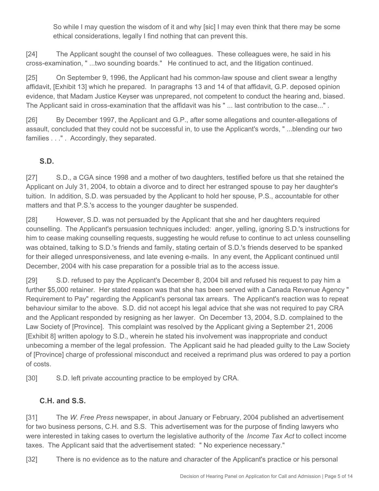So while I may question the wisdom of it and why [sic] I may even think that there may be some ethical considerations, legally I find nothing that can prevent this.

[24] The Applicant sought the counsel of two colleagues. These colleagues were, he said in his cross-examination, " ...two sounding boards." He continued to act, and the litigation continued.

[25] On September 9, 1996, the Applicant had his common-law spouse and client swear a lengthy affidavit, [Exhibit 13] which he prepared. In paragraphs 13 and 14 of that affidavit, G.P. deposed opinion evidence, that Madam Justice Keyser was unprepared, not competent to conduct the hearing and, biased. The Applicant said in cross-examination that the affidavit was his " ... last contribution to the case..." .

[26] By December 1997, the Applicant and G.P., after some allegations and counter-allegations of assault, concluded that they could not be successful in, to use the Applicant's words, " ...blending our two families . . ." . Accordingly, they separated.

## **S.D.**

[27] S.D., a CGA since 1998 and a mother of two daughters, testified before us that she retained the Applicant on July 31, 2004, to obtain a divorce and to direct her estranged spouse to pay her daughter's tuition. In addition, S.D. was persuaded by the Applicant to hold her spouse, P.S., accountable for other matters and that P.S.'s access to the younger daughter be suspended.

[28] However, S.D. was not persuaded by the Applicant that she and her daughters required counselling. The Applicant's persuasion techniques included: anger, yelling, ignoring S.D.'s instructions for him to cease making counselling requests, suggesting he would refuse to continue to act unless counselling was obtained, talking to S.D.'s friends and family, stating certain of S.D.'s friends deserved to be spanked for their alleged unresponsiveness, and late evening e-mails. In any event, the Applicant continued until December, 2004 with his case preparation for a possible trial as to the access issue.

[29] S.D. refused to pay the Applicant's December 8, 2004 bill and refused his request to pay him a further \$5,000 retainer. Her stated reason was that she has been served with a Canada Revenue Agency " Requirement to Pay" regarding the Applicant's personal tax arrears. The Applicant's reaction was to repeat behaviour similar to the above. S.D. did not accept his legal advice that she was not required to pay CRA and the Applicant responded by resigning as her lawyer. On December 13, 2004, S.D. complained to the Law Society of [Province]. This complaint was resolved by the Applicant giving a September 21, 2006 [Exhibit 8] written apology to S.D., wherein he stated his involvement was inappropriate and conduct unbecoming a member of the legal profession. The Applicant said he had pleaded guilty to the Law Society of [Province] charge of professional misconduct and received a reprimand plus was ordered to pay a portion of costs.

[30] S.D. left private accounting practice to be employed by CRA.

#### **C.H. and S.S.**

[31] The *W. Free Press* newspaper, in about January or February, 2004 published an advertisement for two business persons, C.H. and S.S. This advertisement was for the purpose of finding lawyers who were interested in taking cases to overturn the legislative authority of the *Income Tax Act* to collect income taxes. The Applicant said that the advertisement stated: " No experience necessary."

[32] There is no evidence as to the nature and character of the Applicant's practice or his personal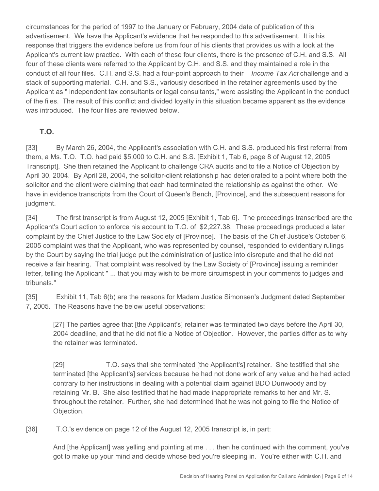circumstances for the period of 1997 to the January or February, 2004 date of publication of this advertisement. We have the Applicant's evidence that he responded to this advertisement. It is his response that triggers the evidence before us from four of his clients that provides us with a look at the Applicant's current law practice. With each of these four clients, there is the presence of C.H. and S.S. All four of these clients were referred to the Applicant by C.H. and S.S. and they maintained a role in the conduct of all four files. C.H. and S.S. had a four-point approach to their *Income Tax Act* challenge and a stack of supporting material. C.H. and S.S., variously described in the retainer agreements used by the Applicant as " independent tax consultants or legal consultants," were assisting the Applicant in the conduct of the files. The result of this conflict and divided loyalty in this situation became apparent as the evidence was introduced. The four files are reviewed below.

#### **T.O.**

[33] By March 26, 2004, the Applicant's association with C.H. and S.S. produced his first referral from them, a Ms. T.O. T.O. had paid \$5,000 to C.H. and S.S. [Exhibit 1, Tab 6, page 8 of August 12, 2005 Transcript]. She then retained the Applicant to challenge CRA audits and to file a Notice of Objection by April 30, 2004. By April 28, 2004, the solicitor-client relationship had deteriorated to a point where both the solicitor and the client were claiming that each had terminated the relationship as against the other. We have in evidence transcripts from the Court of Queen's Bench, [Province], and the subsequent reasons for judgment.

[34] The first transcript is from August 12, 2005 [Exhibit 1, Tab 6]. The proceedings transcribed are the Applicant's Court action to enforce his account to T.O. of \$2,227.38. These proceedings produced a later complaint by the Chief Justice to the Law Society of [Province]. The basis of the Chief Justice's October 6, 2005 complaint was that the Applicant, who was represented by counsel, responded to evidentiary rulings by the Court by saying the trial judge put the administration of justice into disrepute and that he did not receive a fair hearing. That complaint was resolved by the Law Society of [Province] issuing a reminder letter, telling the Applicant " ... that you may wish to be more circumspect in your comments to judges and tribunals."

[35] Exhibit 11, Tab 6(b) are the reasons for Madam Justice Simonsen's Judgment dated September 7, 2005. The Reasons have the below useful observations:

[27] The parties agree that [the Applicant's] retainer was terminated two days before the April 30, 2004 deadline, and that he did not file a Notice of Objection. However, the parties differ as to why the retainer was terminated.

[29] T.O. says that she terminated [the Applicant's] retainer. She testified that she terminated [the Applicant's] services because he had not done work of any value and he had acted contrary to her instructions in dealing with a potential claim against BDO Dunwoody and by retaining Mr. B. She also testified that he had made inappropriate remarks to her and Mr. S. throughout the retainer. Further, she had determined that he was not going to file the Notice of Objection.

[36] T.O.'s evidence on page 12 of the August 12, 2005 transcript is, in part:

And [the Applicant] was yelling and pointing at me . . . then he continued with the comment, you've got to make up your mind and decide whose bed you're sleeping in. You're either with C.H. and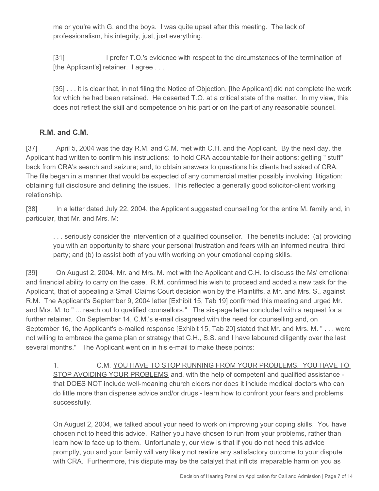me or you're with G. and the boys. I was quite upset after this meeting. The lack of professionalism, his integrity, just, just everything.

[31] I prefer T.O.'s evidence with respect to the circumstances of the termination of [the Applicant's] retainer. I agree ...

[35] . . . it is clear that, in not filing the Notice of Objection, [the Applicant] did not complete the work for which he had been retained. He deserted T.O. at a critical state of the matter. In my view, this does not reflect the skill and competence on his part or on the part of any reasonable counsel.

#### **R.M. and C.M.**

[37] April 5, 2004 was the day R.M. and C.M. met with C.H. and the Applicant. By the next day, the Applicant had written to confirm his instructions: to hold CRA accountable for their actions; getting " stuff" back from CRA's search and seizure; and, to obtain answers to questions his clients had asked of CRA. The file began in a manner that would be expected of any commercial matter possibly involving litigation: obtaining full disclosure and defining the issues. This reflected a generally good solicitor-client working relationship.

[38] In a letter dated July 22, 2004, the Applicant suggested counselling for the entire M. family and, in particular, that Mr. and Mrs. M:

. . . seriously consider the intervention of a qualified counsellor. The benefits include: (a) providing you with an opportunity to share your personal frustration and fears with an informed neutral third party; and (b) to assist both of you with working on your emotional coping skills.

[39] On August 2, 2004, Mr. and Mrs. M. met with the Applicant and C.H. to discuss the Ms' emotional and financial ability to carry on the case. R.M. confirmed his wish to proceed and added a new task for the Applicant, that of appealing a Small Claims Court decision won by the Plaintiffs, a Mr. and Mrs. S., against R.M. The Applicant's September 9, 2004 letter [Exhibit 15, Tab 19] confirmed this meeting and urged Mr. and Mrs. M. to " ... reach out to qualified counsellors." The six-page letter concluded with a request for a further retainer. On September 14, C.M.'s e-mail disagreed with the need for counselling and, on September 16, the Applicant's e-mailed response [Exhibit 15, Tab 20] stated that Mr. and Mrs. M. " . . . were not willing to embrace the game plan or strategy that C.H., S.S. and I have laboured diligently over the last several months." The Applicant went on in his e-mail to make these points:

1. C.M, YOU HAVE TO STOP RUNNING FROM YOUR PROBLEMS. YOU HAVE TO STOP AVOIDING YOUR PROBLEMS and, with the help of competent and qualified assistance that DOES NOT include well-meaning church elders nor does it include medical doctors who can do little more than dispense advice and/or drugs - learn how to confront your fears and problems successfully.

On August 2, 2004, we talked about your need to work on improving your coping skills. You have chosen not to heed this advice. Rather you have chosen to run from your problems, rather than learn how to face up to them. Unfortunately, our view is that if you do not heed this advice promptly, you and your family will very likely not realize any satisfactory outcome to your dispute with CRA. Furthermore, this dispute may be the catalyst that inflicts irreparable harm on you as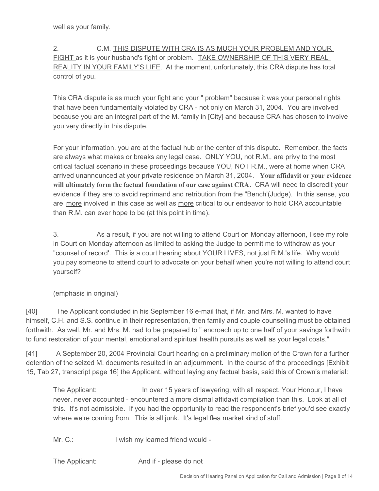well as your family.

2. C.M, THIS DISPUTE WITH CRA IS AS MUCH YOUR PROBLEM AND YOUR FIGHT as it is your husband's fight or problem. TAKE OWNERSHIP OF THIS VERY REAL REALITY IN YOUR FAMILY'S LIFE. At the moment, unfortunately, this CRA dispute has total control of you.

This CRA dispute is as much your fight and your " problem" because it was your personal rights that have been fundamentally violated by CRA - not only on March 31, 2004. You are involved because you are an integral part of the M. family in [City] and because CRA has chosen to involve you very directly in this dispute.

For your information, you are at the factual hub or the center of this dispute. Remember, the facts are always what makes or breaks any legal case. ONLY YOU, not R.M., are privy to the most critical factual scenario in these proceedings because YOU, NOT R.M., were at home when CRA arrived unannounced at your private residence on March 31, 2004. **Your affidavit or your evidence will ultimately form the factual foundation of our case against CRA**. CRA will need to discredit your evidence if they are to avoid reprimand and retribution from the "Bench'(Judge). In this sense, you are more involved in this case as well as more critical to our endeavor to hold CRA accountable than R.M. can ever hope to be (at this point in time).

3. As a result, if you are not willing to attend Court on Monday afternoon, I see my role in Court on Monday afternoon as limited to asking the Judge to permit me to withdraw as your "counsel of record'. This is a court hearing about YOUR LIVES, not just R.M.'s life. Why would you pay someone to attend court to advocate on your behalf when you're not willing to attend court yourself?

(emphasis in original)

[40] The Applicant concluded in his September 16 e-mail that, if Mr. and Mrs. M. wanted to have himself, C.H. and S.S. continue in their representation, then family and couple counselling must be obtained forthwith. As well, Mr. and Mrs. M. had to be prepared to " encroach up to one half of your savings forthwith to fund restoration of your mental, emotional and spiritual health pursuits as well as your legal costs."

[41] A September 20, 2004 Provincial Court hearing on a preliminary motion of the Crown for a further detention of the seized M. documents resulted in an adjournment. In the course of the proceedings [Exhibit 15, Tab 27, transcript page 16] the Applicant, without laying any factual basis, said this of Crown's material:

The Applicant: In over 15 years of lawyering, with all respect, Your Honour, I have never, never accounted - encountered a more dismal affidavit compilation than this. Look at all of this. It's not admissible. If you had the opportunity to read the respondent's brief you'd see exactly where we're coming from. This is all junk. It's legal flea market kind of stuff.

Mr. C.: I wish my learned friend would -

The Applicant: And if - please do not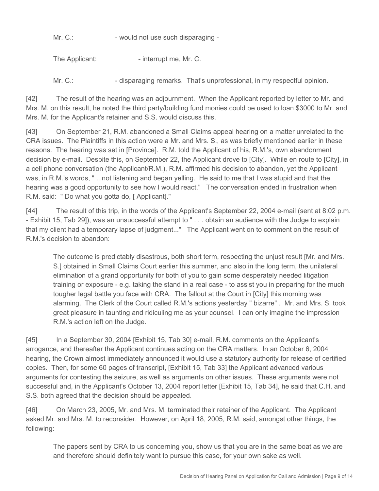Mr. C.:  $\blacksquare$  - would not use such disparaging -

The Applicant: The Applicant: The Applicant: Fig. 2.

Mr. C.:  $\blacksquare$  - disparaging remarks. That's unprofessional, in my respectful opinion.

[42] The result of the hearing was an adjournment. When the Applicant reported by letter to Mr. and Mrs. M. on this result, he noted the third party/building fund monies could be used to loan \$3000 to Mr. and Mrs. M. for the Applicant's retainer and S.S. would discuss this.

[43] On September 21, R.M. abandoned a Small Claims appeal hearing on a matter unrelated to the CRA issues. The Plaintiffs in this action were a Mr. and Mrs. S., as was briefly mentioned earlier in these reasons. The hearing was set in [Province]. R.M. told the Applicant of his, R.M.'s, own abandonment decision by e-mail. Despite this, on September 22, the Applicant drove to [City]. While en route to [City], in a cell phone conversation (the Applicant/R.M.), R.M. affirmed his decision to abandon, yet the Applicant was, in R.M.'s words, " ...not listening and began yelling. He said to me that I was stupid and that the hearing was a good opportunity to see how I would react." The conversation ended in frustration when R.M. said: " Do what you gotta do, [ Applicant]."

[44] The result of this trip, in the words of the Applicant's September 22, 2004 e-mail (sent at 8:02 p.m. - Exhibit 15, Tab 29]), was an unsuccessful attempt to " . . . obtain an audience with the Judge to explain that my client had a temporary lapse of judgment..." The Applicant went on to comment on the result of R.M.'s decision to abandon:

The outcome is predictably disastrous, both short term, respecting the unjust result [Mr. and Mrs. S.] obtained in Small Claims Court earlier this summer, and also in the long term, the unilateral elimination of a grand opportunity for both of you to gain some desperately needed litigation training or exposure - e.g. taking the stand in a real case - to assist you in preparing for the much tougher legal battle you face with CRA. The fallout at the Court in [City] this morning was alarming. The Clerk of the Court called R.M.'s actions yesterday " bizarre" . Mr. and Mrs. S. took great pleasure in taunting and ridiculing me as your counsel. I can only imagine the impression R.M.'s action left on the Judge.

[45] In a September 30, 2004 [Exhibit 15, Tab 30] e-mail, R.M. comments on the Applicant's arrogance, and thereafter the Applicant continues acting on the CRA matters. In an October 6, 2004 hearing, the Crown almost immediately announced it would use a statutory authority for release of certified copies. Then, for some 60 pages of transcript, [Exhibit 15, Tab 33] the Applicant advanced various arguments for contesting the seizure, as well as arguments on other issues. These arguments were not successful and, in the Applicant's October 13, 2004 report letter [Exhibit 15, Tab 34], he said that C.H. and S.S. both agreed that the decision should be appealed.

[46] On March 23, 2005, Mr. and Mrs. M. terminated their retainer of the Applicant. The Applicant asked Mr. and Mrs. M. to reconsider. However, on April 18, 2005, R.M. said, amongst other things, the following:

The papers sent by CRA to us concerning you, show us that you are in the same boat as we are and therefore should definitely want to pursue this case, for your own sake as well.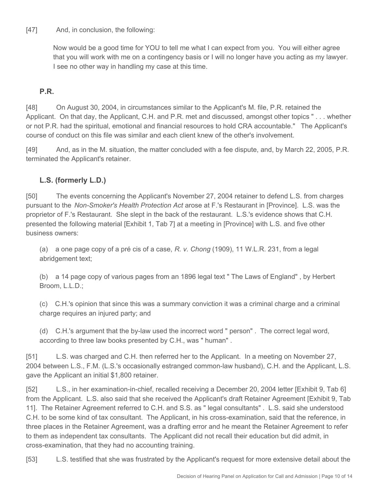[47] And, in conclusion, the following:

Now would be a good time for YOU to tell me what I can expect from you. You will either agree that you will work with me on a contingency basis or I will no longer have you acting as my lawyer. I see no other way in handling my case at this time.

#### **P.R.**

[48] On August 30, 2004, in circumstances similar to the Applicant's M. file, P.R. retained the Applicant. On that day, the Applicant, C.H. and P.R. met and discussed, amongst other topics " . . . whether or not P.R. had the spiritual, emotional and financial resources to hold CRA accountable." The Applicant's course of conduct on this file was similar and each client knew of the other's involvement.

[49] And, as in the M. situation, the matter concluded with a fee dispute, and, by March 22, 2005, P.R. terminated the Applicant's retainer.

#### **L.S. (formerly L.D.)**

[50] The events concerning the Applicant's November 27, 2004 retainer to defend L.S. from charges pursuant to the *Non-Smoker's Health Protection Act* arose at F.'s Restaurant in [Province]. L.S. was the proprietor of F.'s Restaurant. She slept in the back of the restaurant. L.S.'s evidence shows that C.H. presented the following material [Exhibit 1, Tab 7] at a meeting in [Province] with L.S. and five other business owners:

(a) a one page copy of a pré cis of a case, *R. v. Chong* (1909), 11 W.L.R. 231, from a legal abridgement text;

(b) a 14 page copy of various pages from an 1896 legal text " The Laws of England" , by Herbert Broom, L.L.D.;

(c) C.H.'s opinion that since this was a summary conviction it was a criminal charge and a criminal charge requires an injured party; and

(d) C.H.'s argument that the by-law used the incorrect word " person" . The correct legal word, according to three law books presented by C.H., was " human" .

[51] L.S. was charged and C.H. then referred her to the Applicant. In a meeting on November 27, 2004 between L.S., F.M. (L.S.'s occasionally estranged common-law husband), C.H. and the Applicant, L.S. gave the Applicant an initial \$1,800 retainer.

[52] L.S., in her examination-in-chief, recalled receiving a December 20, 2004 letter [Exhibit 9, Tab 6] from the Applicant. L.S. also said that she received the Applicant's draft Retainer Agreement [Exhibit 9, Tab 11]. The Retainer Agreement referred to C.H. and S.S. as " legal consultants" . L.S. said she understood C.H. to be some kind of tax consultant. The Applicant, in his cross-examination, said that the reference, in three places in the Retainer Agreement, was a drafting error and he meant the Retainer Agreement to refer to them as independent tax consultants. The Applicant did not recall their education but did admit, in cross-examination, that they had no accounting training.

[53] L.S. testified that she was frustrated by the Applicant's request for more extensive detail about the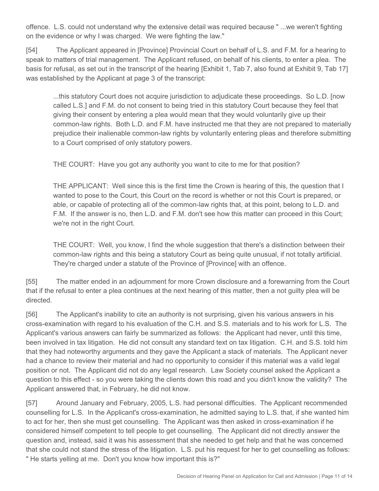offence. L.S. could not understand why the extensive detail was required because " ...we weren't fighting on the evidence or why I was charged. We were fighting the law."

[54] The Applicant appeared in [Province] Provincial Court on behalf of L.S. and F.M. for a hearing to speak to matters of trial management. The Applicant refused, on behalf of his clients, to enter a plea. The basis for refusal, as set out in the transcript of the hearing [Exhibit 1, Tab 7, also found at Exhibit 9, Tab 17] was established by the Applicant at page 3 of the transcript:

...this statutory Court does not acquire jurisdiction to adjudicate these proceedings. So L.D. [now called L.S.] and F.M. do not consent to being tried in this statutory Court because they feel that giving their consent by entering a plea would mean that they would voluntarily give up their common-law rights. Both L.D. and F.M. have instructed me that they are not prepared to materially prejudice their inalienable common-law rights by voluntarily entering pleas and therefore submitting to a Court comprised of only statutory powers.

THE COURT: Have you got any authority you want to cite to me for that position?

THE APPLICANT: Well since this is the first time the Crown is hearing of this, the question that I wanted to pose to the Court, this Court on the record is whether or not this Court is prepared, or able, or capable of protecting all of the common-law rights that, at this point, belong to L.D. and F.M. If the answer is no, then L.D. and F.M. don't see how this matter can proceed in this Court; we're not in the right Court.

THE COURT: Well, you know, I find the whole suggestion that there's a distinction between their common-law rights and this being a statutory Court as being quite unusual, if not totally artificial. They're charged under a statute of the Province of [Province] with an offence.

[55] The matter ended in an adjournment for more Crown disclosure and a forewarning from the Court that if the refusal to enter a plea continues at the next hearing of this matter, then a not guilty plea will be directed.

[56] The Applicant's inability to cite an authority is not surprising, given his various answers in his cross-examination with regard to his evaluation of the C.H. and S.S. materials and to his work for L.S. The Applicant's various answers can fairly be summarized as follows: the Applicant had never, until this time, been involved in tax litigation. He did not consult any standard text on tax litigation. C.H. and S.S. told him that they had noteworthy arguments and they gave the Applicant a stack of materials. The Applicant never had a chance to review their material and had no opportunity to consider if this material was a valid legal position or not. The Applicant did not do any legal research. Law Society counsel asked the Applicant a question to this effect - so you were taking the clients down this road and you didn't know the validity? The Applicant answered that, in February, he did not know.

[57] Around January and February, 2005, L.S. had personal difficulties. The Applicant recommended counselling for L.S. In the Applicant's cross-examination, he admitted saying to L.S. that, if she wanted him to act for her, then she must get counselling. The Applicant was then asked in cross-examination if he considered himself competent to tell people to get counselling. The Applicant did not directly answer the question and, instead, said it was his assessment that she needed to get help and that he was concerned that she could not stand the stress of the litigation. L.S. put his request for her to get counselling as follows: " He starts yelling at me. Don't you know how important this is?"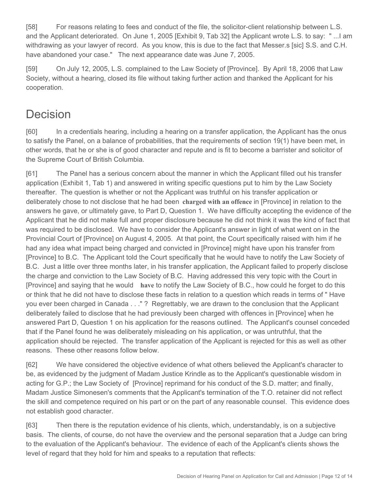[58] For reasons relating to fees and conduct of the file, the solicitor-client relationship between L.S. and the Applicant deteriorated. On June 1, 2005 [Exhibit 9, Tab 32] the Applicant wrote L.S. to say: " ...I am withdrawing as your lawyer of record. As you know, this is due to the fact that Messer.s [sic] S.S. and C.H. have abandoned your case." The next appearance date was June 7, 2005.

[59] On July 12, 2005, L.S. complained to the Law Society of [Province]. By April 18, 2006 that Law Society, without a hearing, closed its file without taking further action and thanked the Applicant for his cooperation.

# **Decision**

[60] In a credentials hearing, including a hearing on a transfer application, the Applicant has the onus to satisfy the Panel, on a balance of probabilities, that the requirements of section 19(1) have been met, in other words, that he or she is of good character and repute and is fit to become a barrister and solicitor of the Supreme Court of British Columbia.

[61] The Panel has a serious concern about the manner in which the Applicant filled out his transfer application (Exhibit 1, Tab 1) and answered in writing specific questions put to him by the Law Society thereafter. The question is whether or not the Applicant was truthful on his transfer application or deliberately chose to not disclose that he had been **charged with an offence** in [Province] in relation to the answers he gave, or ultimately gave, to Part D, Question 1. We have difficulty accepting the evidence of the Applicant that he did not make full and proper disclosure because he did not think it was the kind of fact that was required to be disclosed. We have to consider the Applicant's answer in light of what went on in the Provincial Court of [Province] on August 4, 2005. At that point, the Court specifically raised with him if he had any idea what impact being charged and convicted in [Province] might have upon his transfer from [Province] to B.C. The Applicant told the Court specifically that he would have to notify the Law Society of B.C. Just a little over three months later, in his transfer application, the Applicant failed to properly disclose the charge and conviction to the Law Society of B.C. Having addressed this very topic with the Court in [Province] and saying that he would **have** to notify the Law Society of B.C., how could he forget to do this or think that he did not have to disclose these facts in relation to a question which reads in terms of " Have you ever been charged in Canada . . ." ? Regrettably, we are drawn to the conclusion that the Applicant deliberately failed to disclose that he had previously been charged with offences in [Province] when he answered Part D, Question 1 on his application for the reasons outlined. The Applicant's counsel conceded that if the Panel found he was deliberately misleading on his application, or was untruthful, that the application should be rejected. The transfer application of the Applicant is rejected for this as well as other reasons. These other reasons follow below.

[62] We have considered the objective evidence of what others believed the Applicant's character to be, as evidenced by the judgment of Madam Justice Krindle as to the Applicant's questionable wisdom in acting for G.P.; the Law Society of [Province] reprimand for his conduct of the S.D. matter; and finally, Madam Justice Simonesen's comments that the Applicant's termination of the T.O. retainer did not reflect the skill and competence required on his part or on the part of any reasonable counsel. This evidence does not establish good character.

[63] Then there is the reputation evidence of his clients, which, understandably, is on a subjective basis. The clients, of course, do not have the overview and the personal separation that a Judge can bring to the evaluation of the Applicant's behaviour. The evidence of each of the Applicant's clients shows the level of regard that they hold for him and speaks to a reputation that reflects: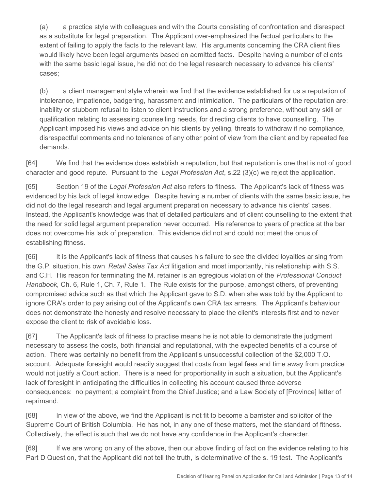(a) a practice style with colleagues and with the Courts consisting of confrontation and disrespect as a substitute for legal preparation. The Applicant over-emphasized the factual particulars to the extent of failing to apply the facts to the relevant law. His arguments concerning the CRA client files would likely have been legal arguments based on admitted facts. Despite having a number of clients with the same basic legal issue, he did not do the legal research necessary to advance his clients' cases;

(b) a client management style wherein we find that the evidence established for us a reputation of intolerance, impatience, badgering, harassment and intimidation. The particulars of the reputation are: inability or stubborn refusal to listen to client instructions and a strong preference, without any skill or qualification relating to assessing counselling needs, for directing clients to have counselling. The Applicant imposed his views and advice on his clients by yelling, threats to withdraw if no compliance, disrespectful comments and no tolerance of any other point of view from the client and by repeated fee demands.

[64] We find that the evidence does establish a reputation, but that reputation is one that is not of good character and good repute. Pursuant to the *Legal Profession Act*, s.22 (3)(c) we reject the application.

[65] Section 19 of the *Legal Profession Act* also refers to fitness. The Applicant's lack of fitness was evidenced by his lack of legal knowledge. Despite having a number of clients with the same basic issue, he did not do the legal research and legal argument preparation necessary to advance his clients' cases. Instead, the Applicant's knowledge was that of detailed particulars and of client counselling to the extent that the need for solid legal argument preparation never occurred. His reference to years of practice at the bar does not overcome his lack of preparation. This evidence did not and could not meet the onus of establishing fitness.

[66] It is the Applicant's lack of fitness that causes his failure to see the divided loyalties arising from the G.P. situation, his own *Retail Sales Tax Act* litigation and most importantly, his relationship with S.S. and C.H. His reason for terminating the M. retainer is an egregious violation of the *Professional Conduct Handbook*, Ch. 6, Rule 1, Ch. 7, Rule 1. The Rule exists for the purpose, amongst others, of preventing compromised advice such as that which the Applicant gave to S.D. when she was told by the Applicant to ignore CRA's order to pay arising out of the Applicant's own CRA tax arrears. The Applicant's behaviour does not demonstrate the honesty and resolve necessary to place the client's interests first and to never expose the client to risk of avoidable loss.

[67] The Applicant's lack of fitness to practise means he is not able to demonstrate the judgment necessary to assess the costs, both financial and reputational, with the expected benefits of a course of action. There was certainly no benefit from the Applicant's unsuccessful collection of the \$2,000 T.O. account. Adequate foresight would readily suggest that costs from legal fees and time away from practice would not justify a Court action. There is a need for proportionality in such a situation, but the Applicant's lack of foresight in anticipating the difficulties in collecting his account caused three adverse consequences: no payment; a complaint from the Chief Justice; and a Law Society of [Province] letter of reprimand.

[68] In view of the above, we find the Applicant is not fit to become a barrister and solicitor of the Supreme Court of British Columbia. He has not, in any one of these matters, met the standard of fitness. Collectively, the effect is such that we do not have any confidence in the Applicant's character.

[69] If we are wrong on any of the above, then our above finding of fact on the evidence relating to his Part D Question, that the Applicant did not tell the truth, is determinative of the s. 19 test. The Applicant's